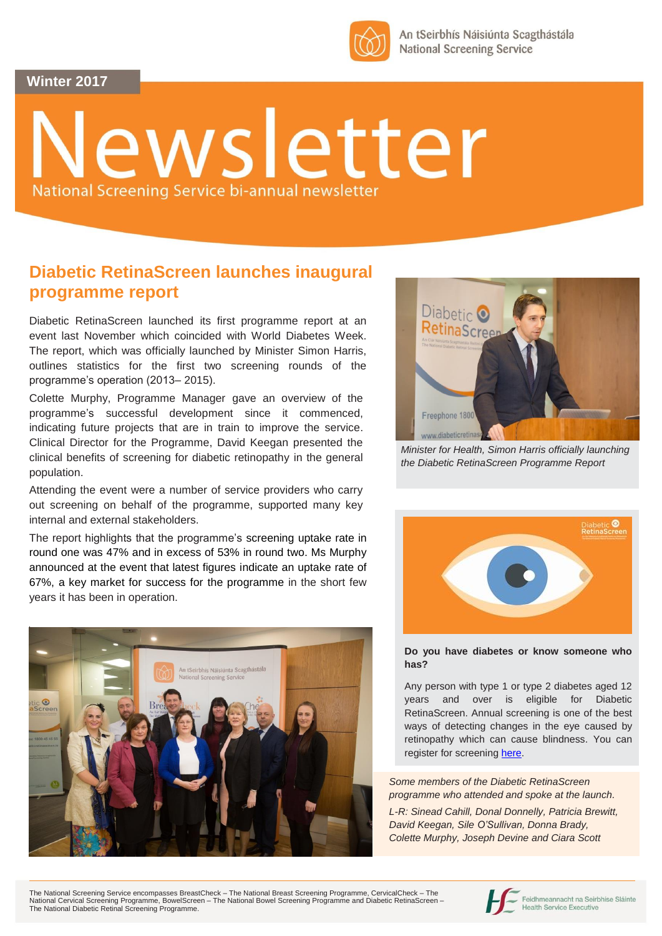**Winter 2017**



An tSeirbhís Náisiúnta Scagthástála **National Screening Service** 

# lewsletter National Screening Service bi-annual newsletter

### **Diabetic RetinaScreen launches inaugural programme report**

Diabetic RetinaScreen launched its first programme report at an event last November which coincided with World Diabetes Week. The report, which was officially launched by Minister Simon Harris, outlines statistics for the first two screening rounds of the programme's operation (2013– 2015).

Colette Murphy, Programme Manager gave an overview of the programme's successful development since it commenced, indicating future projects that are in train to improve the service. Clinical Director for the Programme, David Keegan presented the clinical benefits of screening for diabetic retinopathy in the general population.

Attending the event were a number of service providers who carry out screening on behalf of the programme, supported many key internal and external stakeholders.

The report highlights that the programme's screening uptake rate in round one was 47% and in excess of 53% in round two. Ms Murphy announced at the event that latest figures indicate an uptake rate of 67%, a key market for success for the programme in the short few years it has been in operation.





*Minister for Health, Simon Harris officially launching the Diabetic RetinaScreen Programme Report*



#### **Do you have diabetes or know someone who has?**

Any person with type 1 or type 2 diabetes aged 12 years and over is eligible for Diabetic RetinaScreen. Annual screening is one of the best ways of detecting changes in the eye caused by retinopathy which can cause blindness. You can register for screening [here.](https://apps.diabeticretinascreen.ie/diabetic-screening/public-registration.612.drsregistration.html)

*Some members of the Diabetic RetinaScreen programme who attended and spoke at the launch. L-R: Sinead Cahill, Donal Donnelly, Patricia Brewitt, David Keegan, Sile O'Sullivan, Donna Brady, Colette Murphy, Joseph Devine and Ciara Scott*